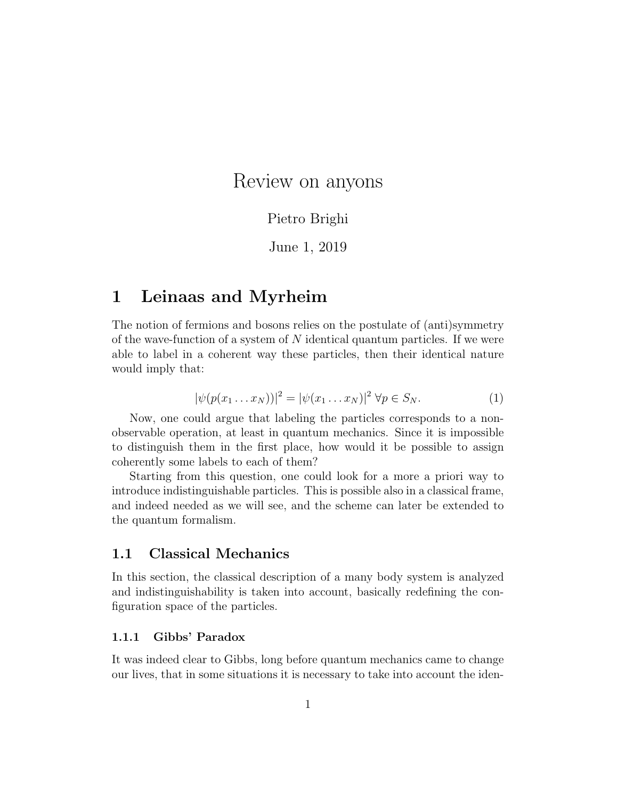# Review on anyons

### Pietro Brighi

June 1, 2019

### 1 Leinaas and Myrheim

The notion of fermions and bosons relies on the postulate of (anti)symmetry of the wave-function of a system of N identical quantum particles. If we were able to label in a coherent way these particles, then their identical nature would imply that:

$$
|\psi(p(x_1...x_N))|^2 = |\psi(x_1...x_N)|^2 \,\forall p \in S_N. \tag{1}
$$

Now, one could argue that labeling the particles corresponds to a nonobservable operation, at least in quantum mechanics. Since it is impossible to distinguish them in the first place, how would it be possible to assign coherently some labels to each of them?

Starting from this question, one could look for a more a priori way to introduce indistinguishable particles. This is possible also in a classical frame, and indeed needed as we will see, and the scheme can later be extended to the quantum formalism.

### 1.1 Classical Mechanics

In this section, the classical description of a many body system is analyzed and indistinguishability is taken into account, basically redefining the configuration space of the particles.

#### 1.1.1 Gibbs' Paradox

It was indeed clear to Gibbs, long before quantum mechanics came to change our lives, that in some situations it is necessary to take into account the iden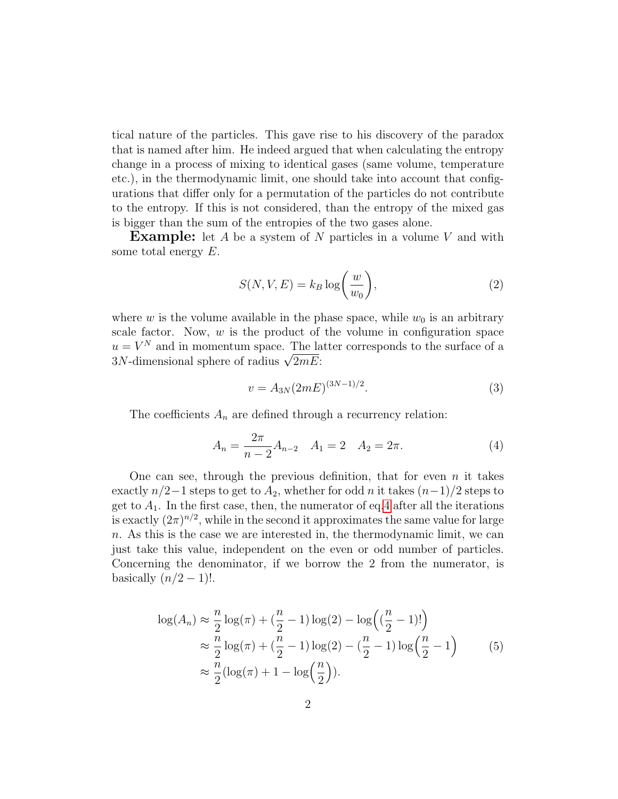tical nature of the particles. This gave rise to his discovery of the paradox that is named after him. He indeed argued that when calculating the entropy change in a process of mixing to identical gases (same volume, temperature etc.), in the thermodynamic limit, one should take into account that configurations that differ only for a permutation of the particles do not contribute to the entropy. If this is not considered, than the entropy of the mixed gas is bigger than the sum of the entropies of the two gases alone.

**Example:** let A be a system of N particles in a volume V and with some total energy E.

$$
S(N, V, E) = k_B \log \left(\frac{w}{w_0}\right),\tag{2}
$$

where w is the volume available in the phase space, while  $w_0$  is an arbitrary scale factor. Now,  $w$  is the product of the volume in configuration space  $u = V^N$  and in momentum space. The latter corresponds to the surface of a  $u = v$  " and in momentum space. The la<br>3N-dimensional sphere of radius  $\sqrt{2mE}$ :

$$
v = A_{3N}(2mE)^{(3N-1)/2}.
$$
 (3)

The coefficients  $A_n$  are defined through a recurrency relation:

<span id="page-1-0"></span>
$$
A_n = \frac{2\pi}{n-2} A_{n-2} \quad A_1 = 2 \quad A_2 = 2\pi. \tag{4}
$$

One can see, through the previous definition, that for even  $n$  it takes exactly  $n/2-1$  steps to get to  $A_2$ , whether for odd n it takes  $(n-1)/2$  steps to get to  $A_1$ . In the first case, then, the numerator of eq[.4](#page-1-0) after all the iterations is exactly  $(2\pi)^{n/2}$ , while in the second it approximates the same value for large n. As this is the case we are interested in, the thermodynamic limit, we can just take this value, independent on the even or odd number of particles. Concerning the denominator, if we borrow the 2 from the numerator, is basically  $(n/2 - 1)!$ .

$$
\log(A_n) \approx \frac{n}{2} \log(\pi) + (\frac{n}{2} - 1) \log(2) - \log((\frac{n}{2} - 1)!)
$$
  
 
$$
\approx \frac{n}{2} \log(\pi) + (\frac{n}{2} - 1) \log(2) - (\frac{n}{2} - 1) \log(\frac{n}{2} - 1)
$$
  
 
$$
\approx \frac{n}{2} (\log(\pi) + 1 - \log(\frac{n}{2})).
$$
 (5)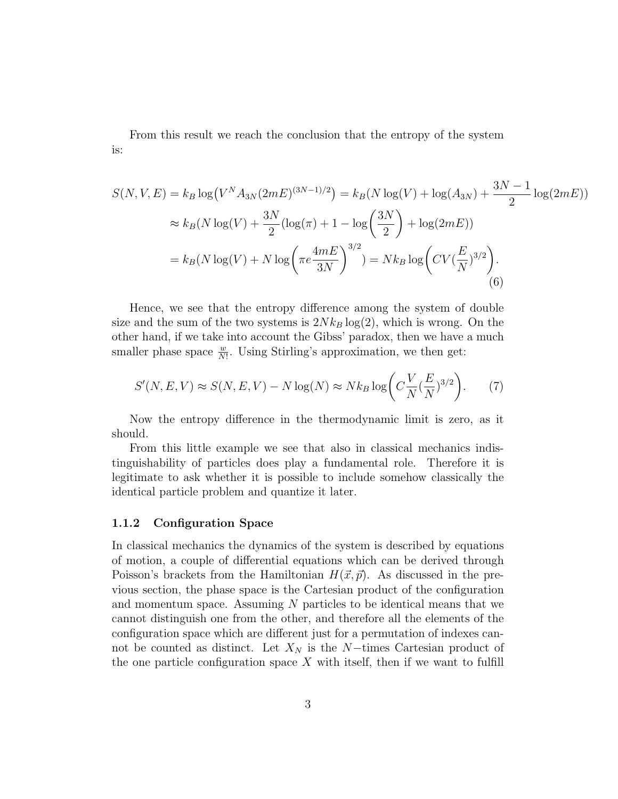From this result we reach the conclusion that the entropy of the system is:

$$
S(N, V, E) = k_B \log(V^N A_{3N} (2mE)^{(3N-1)/2}) = k_B(N \log(V) + \log(A_{3N}) + \frac{3N-1}{2} \log(2mE))
$$
  

$$
\approx k_B(N \log(V) + \frac{3N}{2} (\log(\pi) + 1 - \log\left(\frac{3N}{2}\right) + \log(2mE))
$$
  

$$
= k_B(N \log(V) + N \log\left(\pi e \frac{4mE}{3N}\right)^{3/2}) = Nk_B \log\left(CV(\frac{E}{N})^{3/2}\right).
$$
 (6)

Hence, we see that the entropy difference among the system of double size and the sum of the two systems is  $2N k_B \log(2)$ , which is wrong. On the other hand, if we take into account the Gibss' paradox, then we have a much smaller phase space  $\frac{w}{N!}$ . Using Stirling's approximation, we then get:

$$
S'(N, E, V) \approx S(N, E, V) - N \log(N) \approx N k_B \log \left( C \frac{V}{N} (\frac{E}{N})^{3/2} \right). \tag{7}
$$

Now the entropy difference in the thermodynamic limit is zero, as it should.

From this little example we see that also in classical mechanics indistinguishability of particles does play a fundamental role. Therefore it is legitimate to ask whether it is possible to include somehow classically the identical particle problem and quantize it later.

#### 1.1.2 Configuration Space

In classical mechanics the dynamics of the system is described by equations of motion, a couple of differential equations which can be derived through Poisson's brackets from the Hamiltonian  $H(\vec{x}, \vec{p})$ . As discussed in the previous section, the phase space is the Cartesian product of the configuration and momentum space. Assuming  $N$  particles to be identical means that we cannot distinguish one from the other, and therefore all the elements of the configuration space which are different just for a permutation of indexes cannot be counted as distinct. Let  $X_N$  is the N−times Cartesian product of the one particle configuration space  $X$  with itself, then if we want to fulfill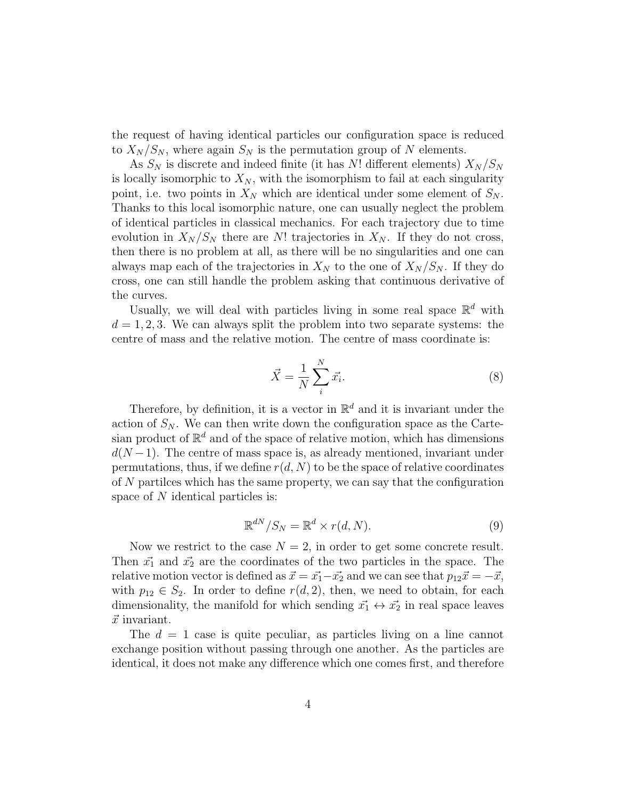the request of having identical particles our configuration space is reduced to  $X_N/S_N$ , where again  $S_N$  is the permutation group of N elements.

As  $S_N$  is discrete and indeed finite (it has N! different elements)  $X_N/S_N$ is locally isomorphic to  $X_N$ , with the isomorphism to fail at each singularity point, i.e. two points in  $X_N$  which are identical under some element of  $S_N$ . Thanks to this local isomorphic nature, one can usually neglect the problem of identical particles in classical mechanics. For each trajectory due to time evolution in  $X_N/S_N$  there are N! trajectories in  $X_N$ . If they do not cross, then there is no problem at all, as there will be no singularities and one can always map each of the trajectories in  $X_N$  to the one of  $X_N / S_N$ . If they do cross, one can still handle the problem asking that continuous derivative of the curves.

Usually, we will deal with particles living in some real space  $\mathbb{R}^d$  with  $d = 1, 2, 3$ . We can always split the problem into two separate systems: the centre of mass and the relative motion. The centre of mass coordinate is:

$$
\vec{X} = \frac{1}{N} \sum_{i}^{N} \vec{x_i}.
$$
\n(8)

Therefore, by definition, it is a vector in  $\mathbb{R}^d$  and it is invariant under the action of  $S_N$ . We can then write down the configuration space as the Cartesian product of  $\mathbb{R}^d$  and of the space of relative motion, which has dimensions  $d(N-1)$ . The centre of mass space is, as already mentioned, invariant under permutations, thus, if we define  $r(d, N)$  to be the space of relative coordinates of N partilces which has the same property, we can say that the configuration space of N identical particles is:

$$
\mathbb{R}^{dN}/S_N = \mathbb{R}^d \times r(d, N). \tag{9}
$$

Now we restrict to the case  $N = 2$ , in order to get some concrete result. Then  $\vec{x_1}$  and  $\vec{x_2}$  are the coordinates of the two particles in the space. The relative motion vector is defined as  $\vec{x} = \vec{x_1} - \vec{x_2}$  and we can see that  $p_{12}\vec{x} = -\vec{x}$ , with  $p_{12} \in S_2$ . In order to define  $r(d, 2)$ , then, we need to obtain, for each dimensionality, the manifold for which sending  $\vec{x_1} \leftrightarrow \vec{x_2}$  in real space leaves  $\vec{x}$  invariant.

The  $d = 1$  case is quite peculiar, as particles living on a line cannot exchange position without passing through one another. As the particles are identical, it does not make any difference which one comes first, and therefore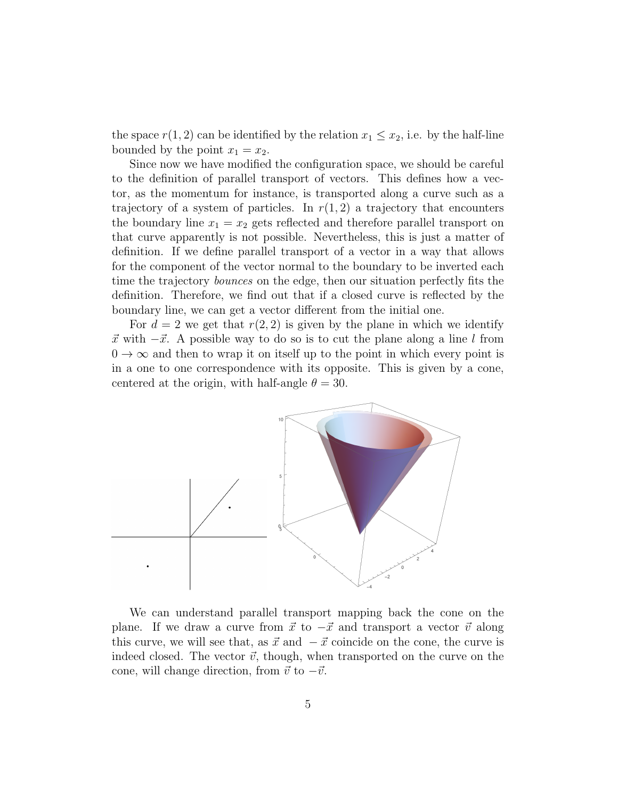the space  $r(1, 2)$  can be identified by the relation  $x_1 \leq x_2$ , i.e. by the half-line bounded by the point  $x_1 = x_2$ .

Since now we have modified the configuration space, we should be careful to the definition of parallel transport of vectors. This defines how a vector, as the momentum for instance, is transported along a curve such as a trajectory of a system of particles. In  $r(1, 2)$  a trajectory that encounters the boundary line  $x_1 = x_2$  gets reflected and therefore parallel transport on that curve apparently is not possible. Nevertheless, this is just a matter of definition. If we define parallel transport of a vector in a way that allows for the component of the vector normal to the boundary to be inverted each time the trajectory bounces on the edge, then our situation perfectly fits the definition. Therefore, we find out that if a closed curve is reflected by the boundary line, we can get a vector different from the initial one.

For  $d = 2$  we get that  $r(2, 2)$  is given by the plane in which we identify  $\vec{x}$  with  $-\vec{x}$ . A possible way to do so is to cut the plane along a line l from  $0 \rightarrow \infty$  and then to wrap it on itself up to the point in which every point is in a one to one correspondence with its opposite. This is given by a cone, centered at the origin, with half-angle  $\theta = 30$ .



We can understand parallel transport mapping back the cone on the plane. If we draw a curve from  $\vec{x}$  to  $-\vec{x}$  and transport a vector  $\vec{v}$  along this curve, we will see that, as  $\vec{x}$  and  $-\vec{x}$  coincide on the cone, the curve is indeed closed. The vector  $\vec{v}$ , though, when transported on the curve on the cone, will change direction, from  $\vec{v}$  to  $-\vec{v}$ .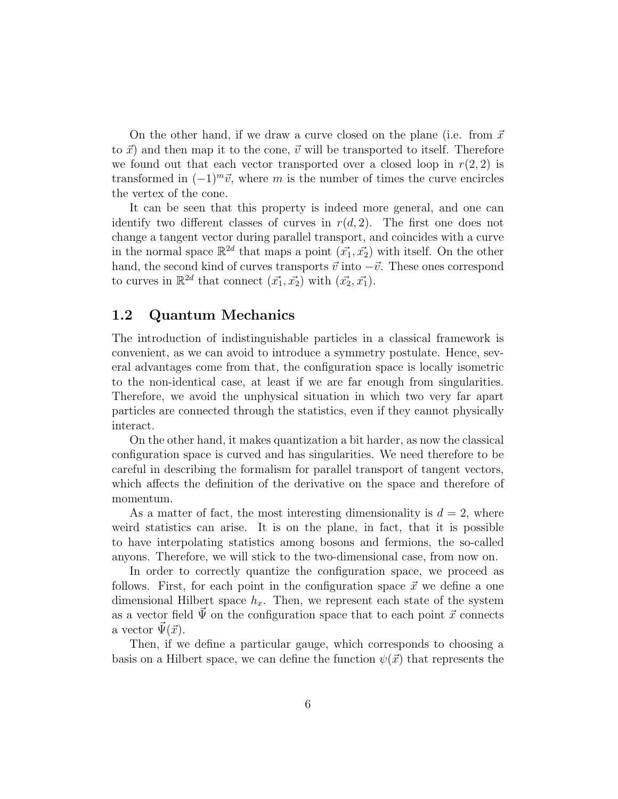On the other hand, if we draw a curve closed on the plane (i.e. from  $\vec{x}$ ) to  $\vec{x}$ ) and then map it to the cone,  $\vec{v}$  will be transported to itself. Therefore we found out that each vector transported over a closed loop in  $r(2, 2)$  is transformed in  $(-1)^{m}\vec{v}$ , where m is the number of times the curve encircles the vertex of the cone.

It can be seen that this property is indeed more general, and one can identify two different classes of curves in  $r(d, 2)$ . The first one does not change a tangent vector during parallel transport, and coincides with a curve in the normal space  $\mathbb{R}^{2d}$  that maps a point  $(\vec{x_1}, \vec{x_2})$  with itself. On the other hand, the second kind of curves transports  $\vec{v}$  into  $-\vec{v}$ . These ones correspond to curves in  $\mathbb{R}^{2d}$  that connect  $(\vec{x_1}, \vec{x_2})$  with  $(\vec{x_2}, \vec{x_1})$ .

### 1.2 Quantum Mechanics

The introduction of indistinguishable particles in a classical framework is convenient, as we can avoid to introduce a symmetry postulate. Hence, several advantages come from that, the configuration space is locally isometric to the non-identical case, at least if we are far enough from singularities. Therefore, we avoid the unphysical situation in which two very far apart particles are connected through the statistics, even if they cannot physically interact.

On the other hand, it makes quantization a bit harder, as now the classical configuration space is curved and has singularities. We need therefore to be careful in describing the formalism for parallel transport of tangent vectors, which affects the definition of the derivative on the space and therefore of momentum.

As a matter of fact, the most interesting dimensionality is  $d = 2$ , where weird statistics can arise. It is on the plane, in fact, that it is possible to have interpolating statistics among bosons and fermions, the so-called anyons. Therefore, we will stick to the two-dimensional case, from now on.

In order to correctly quantize the configuration space, we proceed as follows. First, for each point in the configuration space  $\vec{x}$  we define a one dimensional Hilbert space  $h_x$ . Then, we represent each state of the system as a vector field  $\vec{\Psi}$  on the configuration space that to each point  $\vec{x}$  connects a vector  $\Psi(\vec{x})$ .

Then, if we define a particular gauge, which corresponds to choosing a basis on a Hilbert space, we can define the function  $\psi(\vec{x})$  that represents the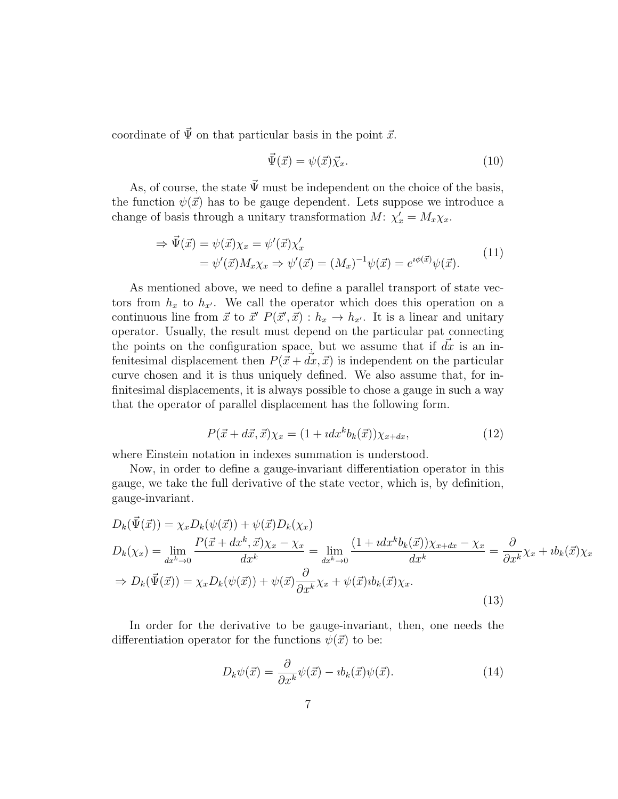coordinate of  $\vec{\Psi}$  on that particular basis in the point  $\vec{x}$ .

$$
\vec{\Psi}(\vec{x}) = \psi(\vec{x}) \vec{\chi}_x.
$$
\n(10)

As, of course, the state  $\vec{\Psi}$  must be independent on the choice of the basis, the function  $\psi(\vec{x})$  has to be gauge dependent. Lets suppose we introduce a change of basis through a unitary transformation  $M: \chi'_x = M_x \chi_x$ .

$$
\Rightarrow \vec{\Psi}(\vec{x}) = \psi(\vec{x})\chi_x = \psi'(\vec{x})\chi'_x
$$
  
=  $\psi'(\vec{x})M_x\chi_x \Rightarrow \psi'(\vec{x}) = (M_x)^{-1}\psi(\vec{x}) = e^{i\phi(\vec{x})}\psi(\vec{x}).$  (11)

As mentioned above, we need to define a parallel transport of state vectors from  $h_x$  to  $h_{x'}$ . We call the operator which does this operation on a continuous line from  $\vec{x}$  to  $\vec{x}' P(\vec{x}', \vec{x}) : h_x \to h_{x'}$ . It is a linear and unitary operator. Usually, the result must depend on the particular pat connecting the points on the configuration space, but we assume that if  $\vec{dx}$  is an infenitesimal displacement then  $P(\vec{x} + d\vec{x}, \vec{x})$  is independent on the particular curve chosen and it is thus uniquely defined. We also assume that, for infinitesimal displacements, it is always possible to chose a gauge in such a way that the operator of parallel displacement has the following form.

$$
P(\vec{x} + d\vec{x}, \vec{x})\chi_x = (1 + i dx^k b_k(\vec{x}))\chi_{x+dx},
$$
\n(12)

where Einstein notation in indexes summation is understood.

Now, in order to define a gauge-invariant differentiation operator in this gauge, we take the full derivative of the state vector, which is, by definition, gauge-invariant.

$$
D_k(\vec{\Psi}(\vec{x})) = \chi_x D_k(\psi(\vec{x})) + \psi(\vec{x})D_k(\chi_x)
$$
  
\n
$$
D_k(\chi_x) = \lim_{dx^k \to 0} \frac{P(\vec{x} + dx^k, \vec{x})\chi_x - \chi_x}{dx^k} = \lim_{dx^k \to 0} \frac{(1 + i dx^k b_k(\vec{x}))\chi_{x+dx} - \chi_x}{dx^k} = \frac{\partial}{\partial x^k} \chi_x + i b_k(\vec{x})\chi_x
$$
  
\n
$$
\Rightarrow D_k(\vec{\Psi}(\vec{x})) = \chi_x D_k(\psi(\vec{x})) + \psi(\vec{x})\frac{\partial}{\partial x^k} \chi_x + \psi(\vec{x})i b_k(\vec{x})\chi_x.
$$
\n(13)

In order for the derivative to be gauge-invariant, then, one needs the differentiation operator for the functions  $\psi(\vec{x})$  to be:

$$
D_k \psi(\vec{x}) = \frac{\partial}{\partial x^k} \psi(\vec{x}) - ib_k(\vec{x}) \psi(\vec{x}). \tag{14}
$$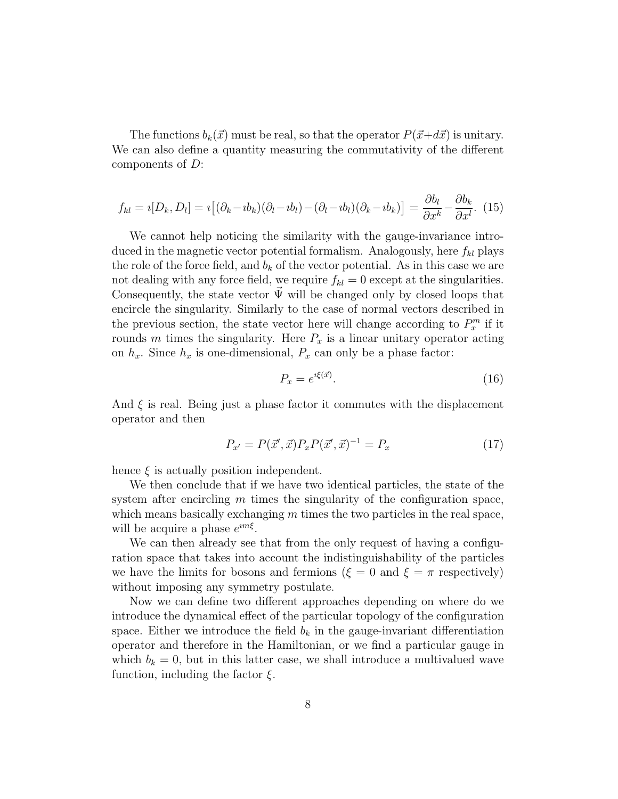The functions  $b_k(\vec{x})$  must be real, so that the operator  $P(\vec{x}+d\vec{x})$  is unitary. We can also define a quantity measuring the commutativity of the different components of D:

$$
f_{kl} = i[D_k, D_l] = i[(\partial_k - ib_k)(\partial_l - ib_l) - (\partial_l - ib_l)(\partial_k - ib_k)] = \frac{\partial b_l}{\partial x^k} - \frac{\partial b_k}{\partial x^l}.
$$
 (15)

We cannot help noticing the similarity with the gauge-invariance introduced in the magnetic vector potential formalism. Analogously, here  $f_{kl}$  plays the role of the force field, and  $b_k$  of the vector potential. As in this case we are not dealing with any force field, we require  $f_{kl} = 0$  except at the singularities. Consequently, the state vector  $\vec{\Psi}$  will be changed only by closed loops that encircle the singularity. Similarly to the case of normal vectors described in the previous section, the state vector here will change according to  $P_x^m$  if it rounds m times the singularity. Here  $P_x$  is a linear unitary operator acting on  $h_x$ . Since  $h_x$  is one-dimensional,  $P_x$  can only be a phase factor:

$$
P_x = e^{i\xi(\vec{x})}.\tag{16}
$$

And  $\xi$  is real. Being just a phase factor it commutes with the displacement operator and then

$$
P_{x'} = P(\vec{x}', \vec{x}) P_x P(\vec{x}', \vec{x})^{-1} = P_x \tag{17}
$$

hence  $\xi$  is actually position independent.

We then conclude that if we have two identical particles, the state of the system after encircling  $m$  times the singularity of the configuration space, which means basically exchanging  $m$  times the two particles in the real space, will be acquire a phase  $e^{im\xi}$ .

We can then already see that from the only request of having a configuration space that takes into account the indistinguishability of the particles we have the limits for bosons and fermions ( $\xi = 0$  and  $\xi = \pi$  respectively) without imposing any symmetry postulate.

Now we can define two different approaches depending on where do we introduce the dynamical effect of the particular topology of the configuration space. Either we introduce the field  $b_k$  in the gauge-invariant differentiation operator and therefore in the Hamiltonian, or we find a particular gauge in which  $b_k = 0$ , but in this latter case, we shall introduce a multivalued wave function, including the factor  $\xi$ .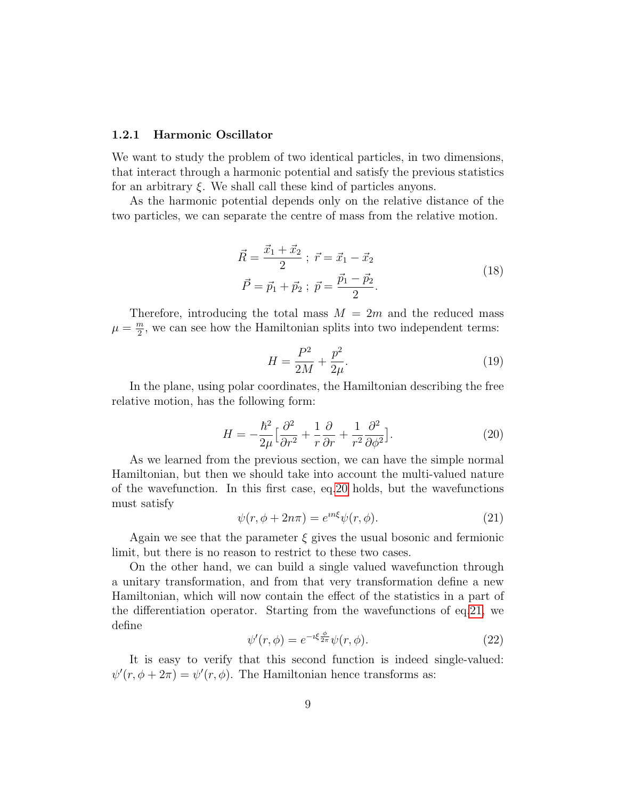#### 1.2.1 Harmonic Oscillator

We want to study the problem of two identical particles, in two dimensions, that interact through a harmonic potential and satisfy the previous statistics for an arbitrary  $\xi$ . We shall call these kind of particles anyons.

As the harmonic potential depends only on the relative distance of the two particles, we can separate the centre of mass from the relative motion.

$$
\vec{R} = \frac{\vec{x}_1 + \vec{x}_2}{2} ; \ \vec{r} = \vec{x}_1 - \vec{x}_2
$$
  

$$
\vec{P} = \vec{p}_1 + \vec{p}_2 ; \ \vec{p} = \frac{\vec{p}_1 - \vec{p}_2}{2}.
$$
 (18)

Therefore, introducing the total mass  $M = 2m$  and the reduced mass  $\mu = \frac{m}{2}$  $\frac{m}{2}$ , we can see how the Hamiltonian splits into two independent terms:

$$
H = \frac{P^2}{2M} + \frac{p^2}{2\mu}.
$$
\n(19)

In the plane, using polar coordinates, the Hamiltonian describing the free relative motion, has the following form:

<span id="page-8-0"></span>
$$
H = -\frac{\hbar^2}{2\mu} \left[ \frac{\partial^2}{\partial r^2} + \frac{1}{r} \frac{\partial}{\partial r} + \frac{1}{r^2} \frac{\partial^2}{\partial \phi^2} \right].
$$
 (20)

As we learned from the previous section, we can have the simple normal Hamiltonian, but then we should take into account the multi-valued nature of the wavefunction. In this first case, eq[.20](#page-8-0) holds, but the wavefunctions must satisfy

<span id="page-8-1"></span>
$$
\psi(r, \phi + 2n\pi) = e^{in\xi} \psi(r, \phi).
$$
\n(21)

Again we see that the parameter  $\xi$  gives the usual bosonic and fermionic limit, but there is no reason to restrict to these two cases.

On the other hand, we can build a single valued wavefunction through a unitary transformation, and from that very transformation define a new Hamiltonian, which will now contain the effect of the statistics in a part of the differentiation operator. Starting from the wavefunctions of eq[.21,](#page-8-1) we define

$$
\psi'(r,\phi) = e^{-i\xi \frac{\phi}{2\pi}} \psi(r,\phi). \tag{22}
$$

It is easy to verify that this second function is indeed single-valued:  $\psi'(r, \phi + 2\pi) = \psi'(r, \phi)$ . The Hamiltonian hence transforms as: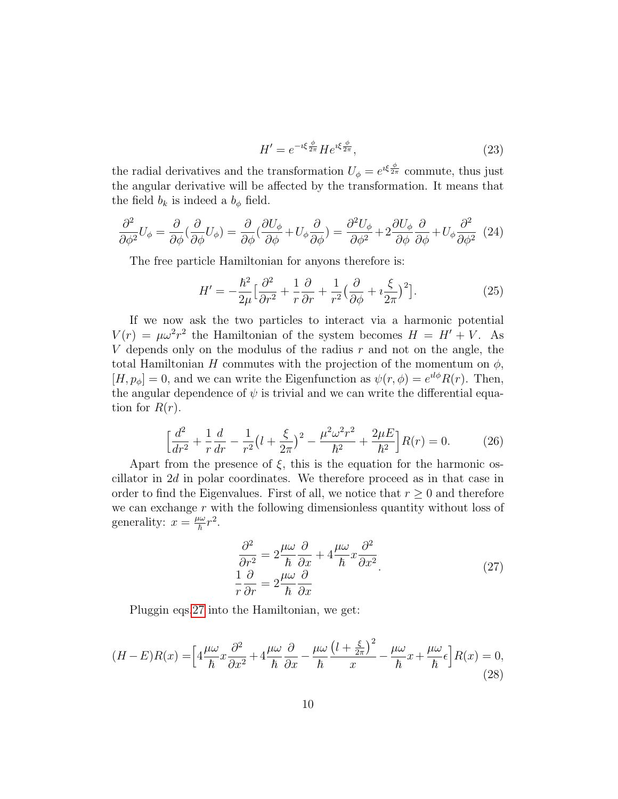$$
H' = e^{-\imath \xi \frac{\phi}{2\pi}} H e^{\imath \xi \frac{\phi}{2\pi}},\tag{23}
$$

the radial derivatives and the transformation  $U_{\phi} = e^{\iota \xi \frac{\phi}{2\pi}}$  commute, thus just the angular derivative will be affected by the transformation. It means that the field  $b_k$  is indeed a  $b_{\phi}$  field.

$$
\frac{\partial^2}{\partial \phi^2} U_{\phi} = \frac{\partial}{\partial \phi} (\frac{\partial}{\partial \phi} U_{\phi}) = \frac{\partial}{\partial \phi} (\frac{\partial U_{\phi}}{\partial \phi} + U_{\phi} \frac{\partial}{\partial \phi}) = \frac{\partial^2 U_{\phi}}{\partial \phi^2} + 2 \frac{\partial U_{\phi}}{\partial \phi} \frac{\partial}{\partial \phi} + U_{\phi} \frac{\partial^2}{\partial \phi^2} (24)
$$

The free particle Hamiltonian for anyons therefore is:

$$
H' = -\frac{\hbar^2}{2\mu} \left[ \frac{\partial^2}{\partial r^2} + \frac{1}{r} \frac{\partial}{\partial r} + \frac{1}{r^2} \left( \frac{\partial}{\partial \phi} + i \frac{\xi}{2\pi} \right)^2 \right].
$$
 (25)

If we now ask the two particles to interact via a harmonic potential  $V(r) = \mu \omega^2 r^2$  the Hamiltonian of the system becomes  $H = H' + V$ . As V depends only on the modulus of the radius  $r$  and not on the angle, the total Hamiltonian H commutes with the projection of the momentum on  $\phi$ ,  $[H, p_{\phi}] = 0$ , and we can write the Eigenfunction as  $\psi(r, \phi) = e^{i\phi} R(r)$ . Then, the angular dependence of  $\psi$  is trivial and we can write the differential equation for  $R(r)$ .

$$
\left[\frac{d^2}{dr^2} + \frac{1}{r}\frac{d}{dr} - \frac{1}{r^2}\left(l + \frac{\xi}{2\pi}\right)^2 - \frac{\mu^2\omega^2r^2}{\hbar^2} + \frac{2\mu E}{\hbar^2}\right]R(r) = 0.
$$
 (26)

Apart from the presence of  $\xi$ , this is the equation for the harmonic oscillator in 2d in polar coordinates. We therefore proceed as in that case in order to find the Eigenvalues. First of all, we notice that  $r \geq 0$  and therefore we can exchange  $r$  with the following dimensionless quantity without loss of generality:  $x = \frac{\mu \omega}{\hbar} r^2$ .

$$
\frac{\partial^2}{\partial r^2} = 2 \frac{\mu \omega}{\hbar} \frac{\partial}{\partial x} + 4 \frac{\mu \omega}{\hbar} x \frac{\partial^2}{\partial x^2} \n\frac{1}{r} \frac{\partial}{\partial r} = 2 \frac{\mu \omega}{\hbar} \frac{\partial}{\partial x}
$$
\n(27)

<span id="page-9-0"></span>Pluggin eqs[.27](#page-9-0) into the Hamiltonian, we get:

$$
(H - E)R(x) = \left[4\frac{\mu\omega}{\hbar}x\frac{\partial^2}{\partial x^2} + 4\frac{\mu\omega}{\hbar}\frac{\partial}{\partial x} - \frac{\mu\omega}{\hbar}\frac{\left(l + \frac{\xi}{2\pi}\right)^2}{x} - \frac{\mu\omega}{\hbar}x + \frac{\mu\omega}{\hbar}\epsilon\right]R(x) = 0,
$$
\n(28)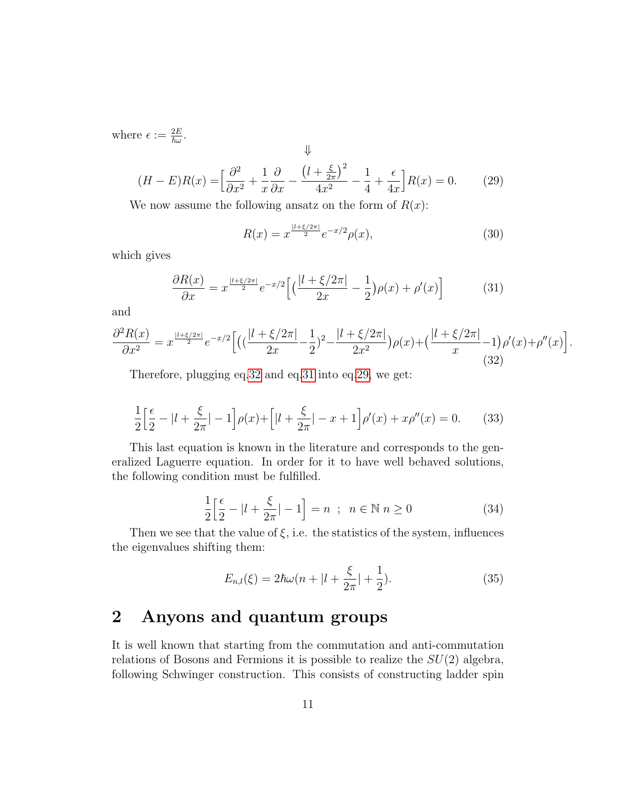where  $\epsilon := \frac{2E}{\hbar \omega}$ .

<span id="page-10-2"></span>
$$
(H - E)R(x) = \left[\frac{\partial^2}{\partial x^2} + \frac{1}{x}\frac{\partial}{\partial x} - \frac{\left(l + \frac{\xi}{2\pi}\right)^2}{4x^2} - \frac{1}{4} + \frac{\epsilon}{4x}\right]R(x) = 0.
$$
 (29)

⇓

We now assume the following ansatz on the form of  $R(x)$ :

$$
R(x) = x^{\frac{|l+\xi/2\pi|}{2}} e^{-x/2} \rho(x),
$$
\n(30)

which gives

<span id="page-10-1"></span>
$$
\frac{\partial R(x)}{\partial x} = x^{\frac{|l+\xi/2\pi|}{2}} e^{-x/2} \left[ \left( \frac{|l+\xi/2\pi|}{2x} - \frac{1}{2} \right) \rho(x) + \rho'(x) \right] \tag{31}
$$

and

<span id="page-10-0"></span>
$$
\frac{\partial^2 R(x)}{\partial x^2} = x^{\frac{|l+\xi/2\pi|}{2}} e^{-x/2} \Big[ \big( \big(\frac{|l+\xi/2\pi|}{2x} - \frac{1}{2}\big)^2 - \frac{|l+\xi/2\pi|}{2x^2} \big) \rho(x) + \big(\frac{|l+\xi/2\pi|}{x} - 1\big) \rho'(x) + \rho''(x) \Big].
$$
\n(32)

Therefore, plugging eq[.32](#page-10-0) and eq[.31](#page-10-1) into eq[.29,](#page-10-2) we get:

$$
\frac{1}{2}\left[\frac{\epsilon}{2} - |l + \frac{\xi}{2\pi}| - 1\right]\rho(x) + \left[|l + \frac{\xi}{2\pi}| - x + 1\right]\rho'(x) + x\rho''(x) = 0. \tag{33}
$$

This last equation is known in the literature and corresponds to the generalized Laguerre equation. In order for it to have well behaved solutions, the following condition must be fulfilled.

$$
\frac{1}{2}\left[\frac{\epsilon}{2} - |l + \frac{\xi}{2\pi}| - 1\right] = n \ ; \ n \in \mathbb{N} \ n \ge 0 \tag{34}
$$

Then we see that the value of  $\xi$ , i.e. the statistics of the system, influences the eigenvalues shifting them:

$$
E_{n,l}(\xi) = 2\hbar\omega(n + |l + \frac{\xi}{2\pi}| + \frac{1}{2}).\tag{35}
$$

# 2 Anyons and quantum groups

It is well known that starting from the commutation and anti-commutation relations of Bosons and Fermions it is possible to realize the  $SU(2)$  algebra, following Schwinger construction. This consists of constructing ladder spin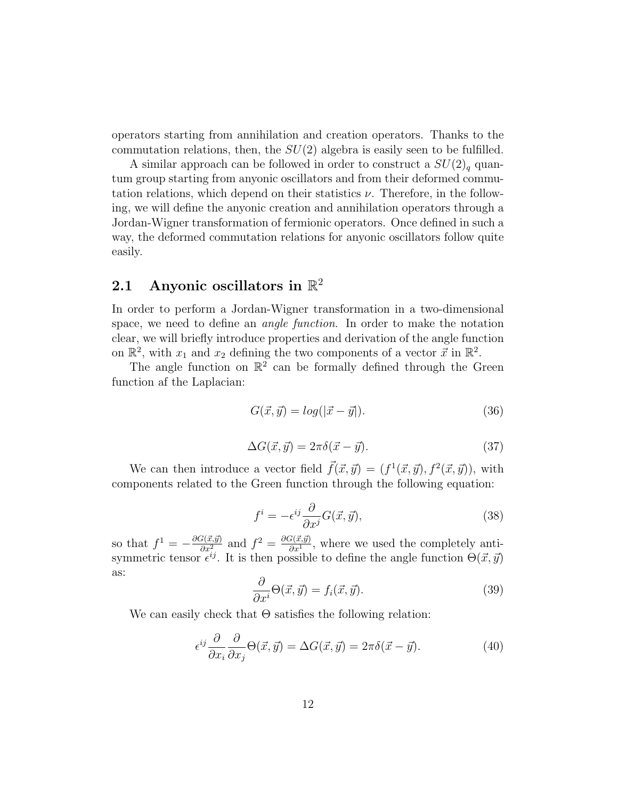operators starting from annihilation and creation operators. Thanks to the commutation relations, then, the  $SU(2)$  algebra is easily seen to be fulfilled.

A similar approach can be followed in order to construct a  $SU(2)_q$  quantum group starting from anyonic oscillators and from their deformed commutation relations, which depend on their statistics  $\nu$ . Therefore, in the following, we will define the anyonic creation and annihilation operators through a Jordan-Wigner transformation of fermionic operators. Once defined in such a way, the deformed commutation relations for anyonic oscillators follow quite easily.

# 2.1 Anyonic oscillators in  $\mathbb{R}^2$

In order to perform a Jordan-Wigner transformation in a two-dimensional space, we need to define an *angle function*. In order to make the notation clear, we will briefly introduce properties and derivation of the angle function on  $\mathbb{R}^2$ , with  $x_1$  and  $x_2$  defining the two components of a vector  $\vec{x}$  in  $\mathbb{R}^2$ .

The angle function on  $\mathbb{R}^2$  can be formally defined through the Green function af the Laplacian:

$$
G(\vec{x}, \vec{y}) = \log(|\vec{x} - \vec{y}|). \tag{36}
$$

$$
\Delta G(\vec{x}, \vec{y}) = 2\pi \delta(\vec{x} - \vec{y}). \tag{37}
$$

We can then introduce a vector field  $\vec{f}(\vec{x}, \vec{y}) = (f^1(\vec{x}, \vec{y}), f^2(\vec{x}, \vec{y}))$ , with components related to the Green function through the following equation:

$$
f^{i} = -\epsilon^{ij} \frac{\partial}{\partial x^{j}} G(\vec{x}, \vec{y}), \qquad (38)
$$

so that  $f^1 = -\frac{\partial G(\vec{x}, \vec{y})}{\partial x^2}$  and  $f^2 = \frac{\partial G(\vec{x}, \vec{y})}{\partial x^1}$  $\frac{\partial^2 (x,y)}{\partial x^1}$ , where we used the completely antisymmetric tensor  $\epsilon^{ij}$ . It is then possible to define the angle function  $\Theta(\vec{x}, \vec{y})$ as:

$$
\frac{\partial}{\partial x^i} \Theta(\vec{x}, \vec{y}) = f_i(\vec{x}, \vec{y}). \tag{39}
$$

We can easily check that  $\Theta$  satisfies the following relation:

<span id="page-11-0"></span>
$$
\epsilon^{ij} \frac{\partial}{\partial x_i} \frac{\partial}{\partial x_j} \Theta(\vec{x}, \vec{y}) = \Delta G(\vec{x}, \vec{y}) = 2\pi \delta(\vec{x} - \vec{y}). \tag{40}
$$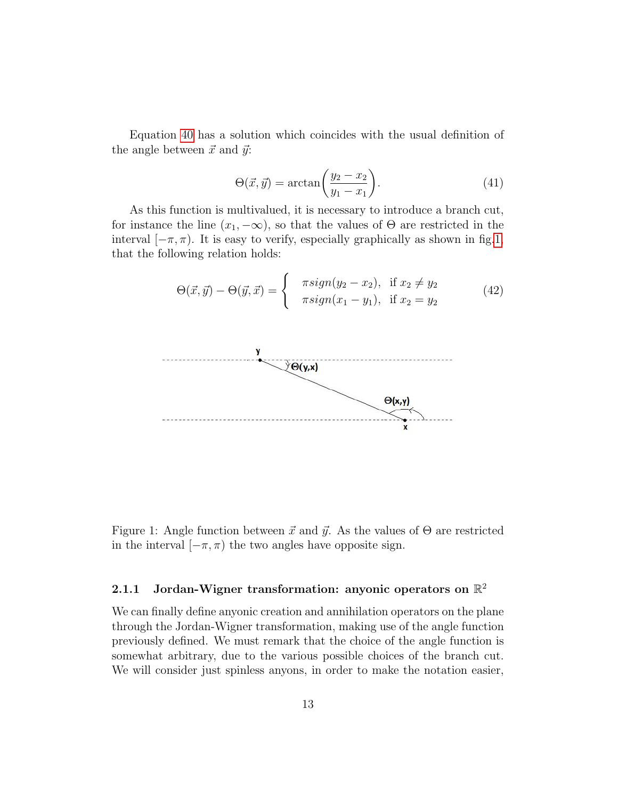Equation [40](#page-11-0) has a solution which coincides with the usual definition of the angle between  $\vec{x}$  and  $\vec{y}$ :

$$
\Theta(\vec{x}, \vec{y}) = \arctan\left(\frac{y_2 - x_2}{y_1 - x_1}\right). \tag{41}
$$

As this function is multivalued, it is necessary to introduce a branch cut, for instance the line  $(x_1, -\infty)$ , so that the values of  $\Theta$  are restricted in the interval  $[-\pi, \pi)$ . It is easy to verify, especially graphically as shown in fig[.1,](#page-12-0) that the following relation holds:

<span id="page-12-1"></span>
$$
\Theta(\vec{x}, \vec{y}) - \Theta(\vec{y}, \vec{x}) = \begin{cases} \pi sign(y_2 - x_2), & \text{if } x_2 \neq y_2 \\ \pi sign(x_1 - y_1), & \text{if } x_2 = y_2 \end{cases}
$$
(42)



<span id="page-12-0"></span>Figure 1: Angle function between  $\vec{x}$  and  $\vec{y}$ . As the values of  $\Theta$  are restricted in the interval  $[-\pi, \pi)$  the two angles have opposite sign.

### 2.1.1 Jordan-Wigner transformation: anyonic operators on  $\mathbb{R}^2$

We can finally define anyonic creation and annihilation operators on the plane through the Jordan-Wigner transformation, making use of the angle function previously defined. We must remark that the choice of the angle function is somewhat arbitrary, due to the various possible choices of the branch cut. We will consider just spinless anyons, in order to make the notation easier,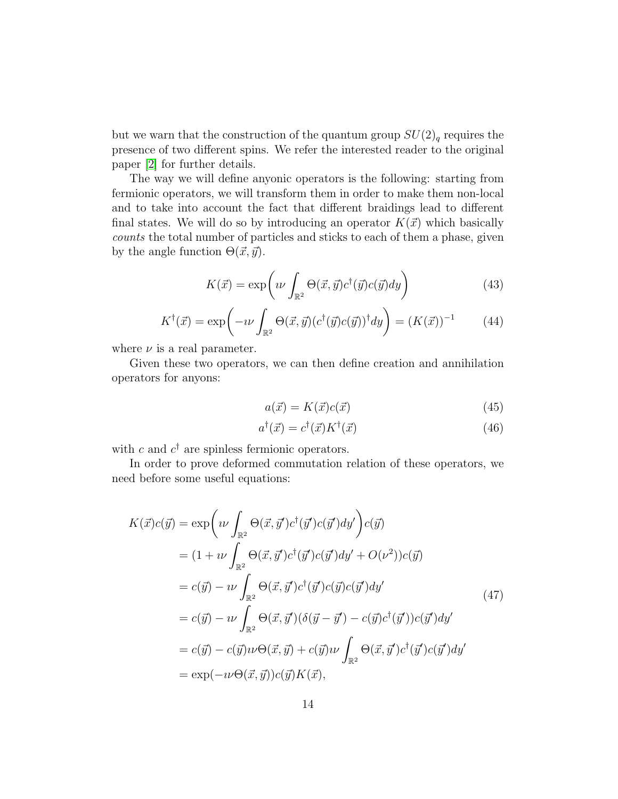but we warn that the construction of the quantum group  $SU(2)_q$  requires the presence of two different spins. We refer the interested reader to the original paper [\[2\]](#page-15-0) for further details.

The way we will define anyonic operators is the following: starting from fermionic operators, we will transform them in order to make them non-local and to take into account the fact that different braidings lead to different final states. We will do so by introducing an operator  $K(\vec{x})$  which basically counts the total number of particles and sticks to each of them a phase, given by the angle function  $\Theta(\vec{x}, \vec{y})$ .

$$
K(\vec{x}) = \exp\left(i\nu \int_{\mathbb{R}^2} \Theta(\vec{x}, \vec{y}) c^\dagger(\vec{y}) c(\vec{y}) dy\right)
$$
(43)

$$
K^{\dagger}(\vec{x}) = \exp\left(-\imath\nu \int_{\mathbb{R}^2} \Theta(\vec{x}, \vec{y}) (c^{\dagger}(\vec{y}) c(\vec{y}))^{\dagger} dy\right) = (K(\vec{x}))^{-1}
$$
(44)

where  $\nu$  is a real parameter.

Given these two operators, we can then define creation and annihilation operators for anyons:

<span id="page-13-0"></span>
$$
a(\vec{x}) = K(\vec{x})c(\vec{x})\tag{45}
$$

$$
a^{\dagger}(\vec{x}) = c^{\dagger}(\vec{x})K^{\dagger}(\vec{x})\tag{46}
$$

with c and  $c^{\dagger}$  are spinless fermionic operators.

In order to prove deformed commutation relation of these operators, we need before some useful equations:

$$
K(\vec{x})c(\vec{y}) = \exp\left(i\nu \int_{\mathbb{R}^2} \Theta(\vec{x}, \vec{y}')c^{\dagger}(\vec{y}')c(\vec{y}')dy'\right)c(\vec{y})
$$
  
\n
$$
= (1 + i\nu \int_{\mathbb{R}^2} \Theta(\vec{x}, \vec{y}')c^{\dagger}(\vec{y}')c(\vec{y}')dy' + O(\nu^2))c(\vec{y})
$$
  
\n
$$
= c(\vec{y}) - i\nu \int_{\mathbb{R}^2} \Theta(\vec{x}, \vec{y}')c^{\dagger}(\vec{y}')c(\vec{y})c(\vec{y}')dy'
$$
  
\n
$$
= c(\vec{y}) - i\nu \int_{\mathbb{R}^2} \Theta(\vec{x}, \vec{y}')(\delta(\vec{y} - \vec{y}') - c(\vec{y})c^{\dagger}(\vec{y}'))c(\vec{y}')dy'
$$
  
\n
$$
= c(\vec{y}) - c(\vec{y})i\nu\Theta(\vec{x}, \vec{y}) + c(\vec{y})i\nu \int_{\mathbb{R}^2} \Theta(\vec{x}, \vec{y}')c^{\dagger}(\vec{y}')c(\vec{y}')dy'
$$
  
\n
$$
= \exp(-i\nu\Theta(\vec{x}, \vec{y}))c(\vec{y})K(\vec{x}),
$$
\n(47)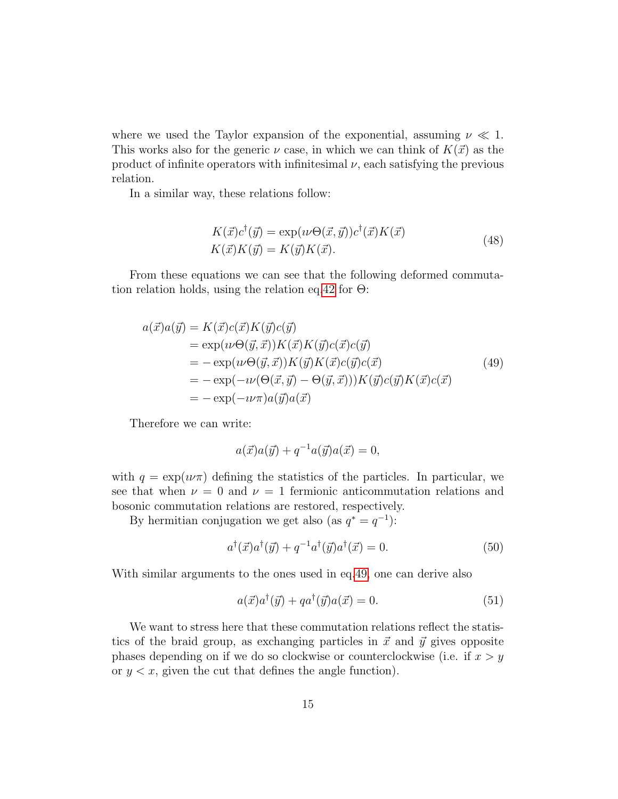where we used the Taylor expansion of the exponential, assuming  $\nu \ll 1$ . This works also for the generic  $\nu$  case, in which we can think of  $K(\vec{x})$  as the product of infinite operators with infinitesimal  $\nu$ , each satisfying the previous relation.

In a similar way, these relations follow:

$$
K(\vec{x})c^{\dagger}(\vec{y}) = \exp(\iota\nu\Theta(\vec{x}, \vec{y}))c^{\dagger}(\vec{x})K(\vec{x})
$$
  
\n
$$
K(\vec{x})K(\vec{y}) = K(\vec{y})K(\vec{x}).
$$
\n(48)

From these equations we can see that the following deformed commuta-tion relation holds, using the relation eq[.42](#page-12-1) for  $\Theta$ :

<span id="page-14-0"></span>
$$
a(\vec{x})a(\vec{y}) = K(\vec{x})c(\vec{x})K(\vec{y})c(\vec{y})
$$
  
\n
$$
= \exp(i\nu\Theta(\vec{y}, \vec{x}))K(\vec{x})K(\vec{y})c(\vec{x})c(\vec{y})
$$
  
\n
$$
= -\exp(i\nu\Theta(\vec{y}, \vec{x}))K(\vec{y})K(\vec{x})c(\vec{y})c(\vec{x})
$$
  
\n
$$
= -\exp(-i\nu(\Theta(\vec{x}, \vec{y}) - \Theta(\vec{y}, \vec{x})))K(\vec{y})c(\vec{y})K(\vec{x})c(\vec{x})
$$
  
\n
$$
= -\exp(-i\nu\pi)a(\vec{y})a(\vec{x})
$$
\n(49)

Therefore we can write:

$$
a(\vec{x})a(\vec{y}) + q^{-1}a(\vec{y})a(\vec{x}) = 0,
$$

with  $q = \exp(i\nu\pi)$  defining the statistics of the particles. In particular, we see that when  $\nu = 0$  and  $\nu = 1$  fermionic anticommutation relations and bosonic commutation relations are restored, respectively.

By hermitian conjugation we get also (as  $q^* = q^{-1}$ ):

$$
a^{\dagger}(\vec{x})a^{\dagger}(\vec{y}) + q^{-1}a^{\dagger}(\vec{y})a^{\dagger}(\vec{x}) = 0.
$$
 (50)

With similar arguments to the ones used in eq[.49,](#page-14-0) one can derive also

$$
a(\vec{x})a^{\dagger}(\vec{y}) + qa^{\dagger}(\vec{y})a(\vec{x}) = 0.
$$
\n(51)

We want to stress here that these commutation relations reflect the statistics of the braid group, as exchanging particles in  $\vec{x}$  and  $\vec{y}$  gives opposite phases depending on if we do so clockwise or counterclockwise (i.e. if  $x > y$ ) or  $y < x$ , given the cut that defines the angle function).